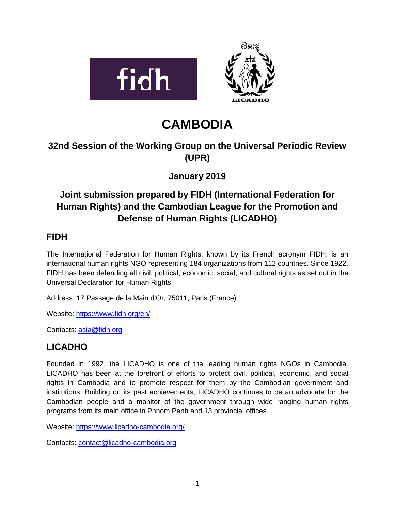

# **CAMBODIA**

# **32nd Session of the Working Group on the Universal Periodic Review (UPR)**

**January 2019**

# **Joint submission prepared by FIDH (International Federation for Human Rights) and the Cambodian League for the Promotion and Defense of Human Rights (LICADHO)**

### **FIDH**

The International Federation for Human Rights, known by its French acronym FIDH, is an international human rights NGO representing 184 organizations from 112 countries. Since 1922, FIDH has been defending all civil, political, economic, social, and cultural rights as set out in the Universal Declaration for Human Rights.

Address: 17 Passage de la Main d'Or, 75011, Paris (France)

Website:<https://www.fidh.org/en/>

Contacts: [asia@fidh.org](mailto:asia@fidh.org)

## **LICADHO**

Founded in 1992, the LICADHO is one of the leading human rights NGOs in Cambodia. LICADHO has been at the forefront of efforts to protect civil, political, economic, and social rights in Cambodia and to promote respect for them by the Cambodian government and institutions. Building on its past achievements, LICADHO continues to be an advocate for the Cambodian people and a monitor of the government through wide ranging human rights programs from its main office in Phnom Penh and 13 provincial offices.

Website:<https://www.licadho-cambodia.org/>

Contacts: [contact@licadho-cambodia.org](mailto:contact@licadho-cambodia.org)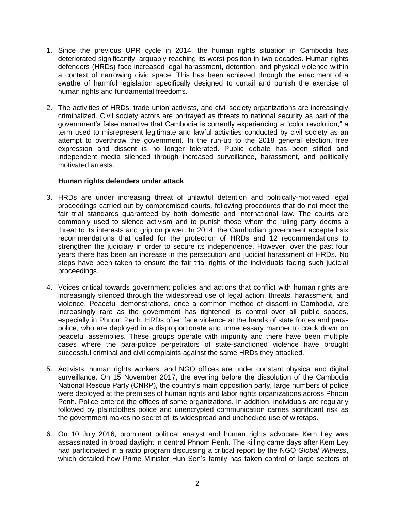- 1. Since the previous UPR cycle in 2014, the human rights situation in Cambodia has deteriorated significantly, arguably reaching its worst position in two decades. Human rights defenders (HRDs) face increased legal harassment, detention, and physical violence within a context of narrowing civic space. This has been achieved through the enactment of a swathe of harmful legislation specifically designed to curtail and punish the exercise of human rights and fundamental freedoms.
- 2. The activities of HRDs, trade union activists, and civil society organizations are increasingly criminalized. Civil society actors are portrayed as threats to national security as part of the government's false narrative that Cambodia is currently experiencing a "color revolution," a term used to misrepresent legitimate and lawful activities conducted by civil society as an attempt to overthrow the government. In the run-up to the 2018 general election, free expression and dissent is no longer tolerated. Public debate has been stifled and independent media silenced through increased surveillance, harassment, and politically motivated arrests.

#### **Human rights defenders under attack**

- 3. HRDs are under increasing threat of unlawful detention and politically-motivated legal proceedings carried out by compromised courts, following procedures that do not meet the fair trial standards guaranteed by both domestic and international law. The courts are commonly used to silence activism and to punish those whom the ruling party deems a threat to its interests and grip on power. In 2014, the Cambodian government accepted six recommendations that called for the protection of HRDs and 12 recommendations to strengthen the judiciary in order to secure its independence. However, over the past four years there has been an increase in the persecution and judicial harassment of HRDs. No steps have been taken to ensure the fair trial rights of the individuals facing such judicial proceedings.
- 4. Voices critical towards government policies and actions that conflict with human rights are increasingly silenced through the widespread use of legal action, threats, harassment, and violence. Peaceful demonstrations, once a common method of dissent in Cambodia, are increasingly rare as the government has tightened its control over all public spaces, especially in Phnom Penh. HRDs often face violence at the hands of state forces and parapolice, who are deployed in a disproportionate and unnecessary manner to crack down on peaceful assemblies. These groups operate with impunity and there have been multiple cases where the para-police perpetrators of state-sanctioned violence have brought successful criminal and civil complaints against the same HRDs they attacked.
- 5. Activists, human rights workers, and NGO offices are under constant physical and digital surveillance. On 15 November 2017, the evening before the dissolution of the Cambodia National Rescue Party (CNRP), the country's main opposition party, large numbers of police were deployed at the premises of human rights and labor rights organizations across Phnom Penh. Police entered the offices of some organizations. In addition, individuals are regularly followed by plainclothes police and unencrypted communication carries significant risk as the government makes no secret of its widespread and unchecked use of wiretaps.
- 6. On 10 July 2016, prominent political analyst and human rights advocate Kem Ley was assassinated in broad daylight in central Phnom Penh. The killing came days after Kem Ley had participated in a radio program discussing a critical report by the NGO *Global Witness*, which detailed how Prime Minister Hun Sen's family has taken control of large sectors of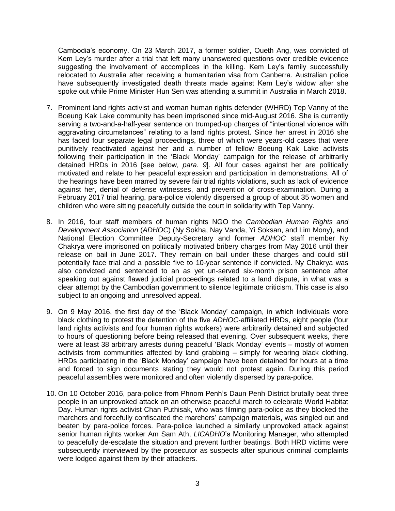Cambodia's economy. On 23 March 2017, a former soldier, Oueth Ang, was convicted of Kem Ley's murder after a trial that left many unanswered questions over credible evidence suggesting the involvement of accomplices in the killing. Kem Ley's family successfully relocated to Australia after receiving a humanitarian visa from Canberra. Australian police have subsequently investigated death threats made against Kem Ley's widow after she spoke out while Prime Minister Hun Sen was attending a summit in Australia in March 2018.

- 7. Prominent land rights activist and woman human rights defender (WHRD) Tep Vanny of the Boeung Kak Lake community has been imprisoned since mid-August 2016. She is currently serving a two-and-a-half-year sentence on trumped-up charges of "intentional violence with aggravating circumstances" relating to a land rights protest. Since her arrest in 2016 she has faced four separate legal proceedings, three of which were years-old cases that were punitively reactivated against her and a number of fellow Boeung Kak Lake activists following their participation in the 'Black Monday' campaign for the release of arbitrarily detained HRDs in 2016 [see below, *para. 9*]. All four cases against her are politically motivated and relate to her peaceful expression and participation in demonstrations. All of the hearings have been marred by severe fair trial rights violations, such as lack of evidence against her, denial of defense witnesses, and prevention of cross-examination. During a February 2017 trial hearing, para-police violently dispersed a group of about 35 women and children who were sitting peacefully outside the court in solidarity with Tep Vanny.
- 8. In 2016, four staff members of human rights NGO the *Cambodian Human Rights and Development Association* (*ADHOC*) (Ny Sokha, Nay Vanda, Yi Soksan, and Lim Mony), and National Election Committee Deputy-Secretary and former *ADHOC* staff member Ny Chakrya were imprisoned on politically motivated bribery charges from May 2016 until their release on bail in June 2017. They remain on bail under these charges and could still potentially face trial and a possible five to 10-year sentence if convicted. Ny Chakrya was also convicted and sentenced to an as yet un-served six-month prison sentence after speaking out against flawed judicial proceedings related to a land dispute, in what was a clear attempt by the Cambodian government to silence legitimate criticism. This case is also subject to an ongoing and unresolved appeal.
- 9. On 9 May 2016, the first day of the 'Black Monday' campaign, in which individuals wore black clothing to protest the detention of the five *ADHOC*-affiliated HRDs, eight people (four land rights activists and four human rights workers) were arbitrarily detained and subjected to hours of questioning before being released that evening. Over subsequent weeks, there were at least 38 arbitrary arrests during peaceful 'Black Monday' events – mostly of women activists from communities affected by land grabbing – simply for wearing black clothing. HRDs participating in the 'Black Monday' campaign have been detained for hours at a time and forced to sign documents stating they would not protest again. During this period peaceful assemblies were monitored and often violently dispersed by para-police.
- 10. On 10 October 2016, para-police from Phnom Penh's Daun Penh District brutally beat three people in an unprovoked attack on an otherwise peaceful march to celebrate World Habitat Day. Human rights activist Chan Puthisak, who was filming para-police as they blocked the marchers and forcefully confiscated the marchers' campaign materials, was singled out and beaten by para-police forces. Para-police launched a similarly unprovoked attack against senior human rights worker Am Sam Ath, *LICADHO*'s Monitoring Manager, who attempted to peacefully de-escalate the situation and prevent further beatings. Both HRD victims were subsequently interviewed by the prosecutor as suspects after spurious criminal complaints were lodged against them by their attackers.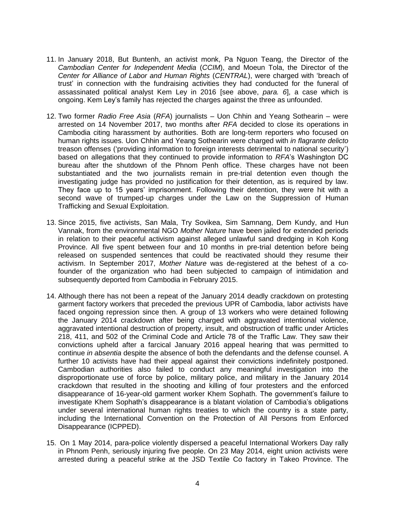- 11. In January 2018, But Buntenh, an activist monk, Pa Nguon Teang, the Director of the *Cambodian Center for Independent Media* (*CCIM*), and Moeun Tola, the Director of the *Center for Alliance of Labor and Human Rights* (*CENTRAL*), were charged with 'breach of trust' in connection with the fundraising activities they had conducted for the funeral of assassinated political analyst Kem Ley in 2016 [see above, *para. 6*], a case which is ongoing. Kem Ley's family has rejected the charges against the three as unfounded.
- 12. Two former *Radio Free Asia* (*RFA*) journalists Uon Chhin and Yeang Sothearin were arrested on 14 November 2017, two months after *RFA* decided to close its operations in Cambodia citing harassment by authorities. Both are long-term reporters who focused on human rights issues. Uon Chhin and Yeang Sothearin were charged with *in flagrante delicto*  treason offenses ('providing information to foreign interests detrimental to national security') based on allegations that they continued to provide information to *RFA*'s Washington DC bureau after the shutdown of the Phnom Penh office. These charges have not been substantiated and the two journalists remain in pre-trial detention even though the investigating judge has provided no justification for their detention, as is required by law. They face up to 15 years' imprisonment. Following their detention, they were hit with a second wave of trumped-up charges under the Law on the Suppression of Human Trafficking and Sexual Exploitation.
- 13. Since 2015, five activists, San Mala, Try Sovikea, Sim Samnang, Dem Kundy, and Hun Vannak, from the environmental NGO *Mother Nature* have been jailed for extended periods in relation to their peaceful activism against alleged unlawful sand dredging in Koh Kong Province. All five spent between four and 10 months in pre-trial detention before being released on suspended sentences that could be reactivated should they resume their activism. In September 2017, *Mother Nature* was de-registered at the behest of a cofounder of the organization who had been subjected to campaign of intimidation and subsequently deported from Cambodia in February 2015.
- 14. Although there has not been a repeat of the January 2014 deadly crackdown on protesting garment factory workers that preceded the previous UPR of Cambodia, labor activists have faced ongoing repression since then. A group of 13 workers who were detained following the January 2014 crackdown after being charged with aggravated intentional violence, aggravated intentional destruction of property, insult, and obstruction of traffic under Articles 218, 411, and 502 of the Criminal Code and Article 78 of the Traffic Law. They saw their convictions upheld after a farcical January 2016 appeal hearing that was permitted to continue *in absentia* despite the absence of both the defendants and the defense counsel. A further 10 activists have had their appeal against their convictions indefinitely postponed. Cambodian authorities also failed to conduct any meaningful investigation into the disproportionate use of force by police, military police, and military in the January 2014 crackdown that resulted in the shooting and killing of four protesters and the enforced disappearance of 16-year-old garment worker Khem Sophath. The government's failure to investigate Khem Sophath's disappearance is a blatant violation of Cambodia's obligations under several international human rights treaties to which the country is a state party, including the International Convention on the Protection of All Persons from Enforced Disappearance (ICPPED).
- 15. On 1 May 2014, para-police violently dispersed a peaceful International Workers Day rally in Phnom Penh, seriously injuring five people. On 23 May 2014, eight union activists were arrested during a peaceful strike at the JSD Textile Co factory in Takeo Province. The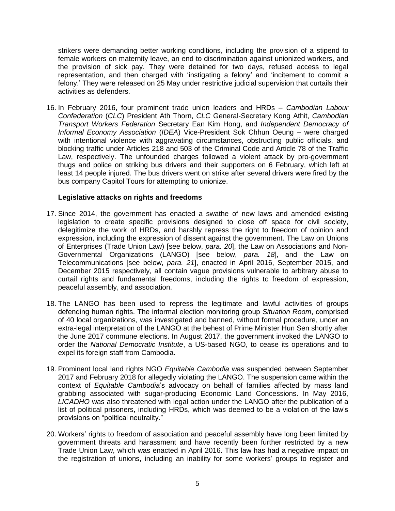strikers were demanding better working conditions, including the provision of a stipend to female workers on maternity leave, an end to discrimination against unionized workers, and the provision of sick pay. They were detained for two days, refused access to legal representation, and then charged with 'instigating a felony' and 'incitement to commit a felony.' They were released on 25 May under restrictive judicial supervision that curtails their activities as defenders.

16. In February 2016, four prominent trade union leaders and HRDs – *Cambodian Labour Confederation* (*CLC*) President Ath Thorn, *CLC* General-Secretary Kong Athit, *Cambodian Transport Workers Federation* Secretary Ean Kim Hong, and *Independent Democracy of Informal Economy Association* (*IDEA*) Vice-President Sok Chhun Oeung – were charged with intentional violence with aggravating circumstances, obstructing public officials, and blocking traffic under Articles 218 and 503 of the Criminal Code and Article 78 of the Traffic Law, respectively. The unfounded charges followed a violent attack by pro-government thugs and police on striking bus drivers and their supporters on 6 February, which left at least 14 people injured. The bus drivers went on strike after several drivers were fired by the bus company Capitol Tours for attempting to unionize.

#### **Legislative attacks on rights and freedoms**

- 17. Since 2014, the government has enacted a swathe of new laws and amended existing legislation to create specific provisions designed to close off space for civil society, delegitimize the work of HRDs, and harshly repress the right to freedom of opinion and expression, including the expression of dissent against the government. The Law on Unions of Enterprises (Trade Union Law) [see below, *para. 20*], the Law on Associations and Non-Governmental Organizations (LANGO) [see below, *para. 18*], and the Law on Telecommunications [see below, *para. 21*], enacted in April 2016, September 2015, and December 2015 respectively, all contain vague provisions vulnerable to arbitrary abuse to curtail rights and fundamental freedoms, including the rights to freedom of expression, peaceful assembly, and association.
- 18. The LANGO has been used to repress the legitimate and lawful activities of groups defending human rights. The informal election monitoring group *Situation Room*, comprised of 40 local organizations, was investigated and banned, without formal procedure, under an extra-legal interpretation of the LANGO at the behest of Prime Minister Hun Sen shortly after the June 2017 commune elections. In August 2017, the government invoked the LANGO to order the *National Democratic Institute*, a US-based NGO, to cease its operations and to expel its foreign staff from Cambodia.
- 19. Prominent local land rights NGO *Equitable Cambodia* was suspended between September 2017 and February 2018 for allegedly violating the LANGO. The suspension came within the context of *Equitable Cambodia*'s advocacy on behalf of families affected by mass land grabbing associated with sugar-producing Economic Land Concessions. In May 2016, *LICADHO* was also threatened with legal action under the LANGO after the publication of a list of political prisoners, including HRDs, which was deemed to be a violation of the law's provisions on "political neutrality."
- 20. Workers' rights to freedom of association and peaceful assembly have long been limited by government threats and harassment and have recently been further restricted by a new Trade Union Law, which was enacted in April 2016. This law has had a negative impact on the registration of unions, including an inability for some workers' groups to register and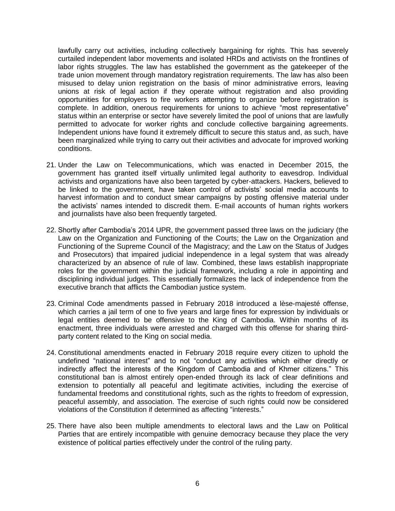lawfully carry out activities, including collectively bargaining for rights. This has severely curtailed independent labor movements and isolated HRDs and activists on the frontlines of labor rights struggles. The law has established the government as the gatekeeper of the trade union movement through mandatory registration requirements. The law has also been misused to delay union registration on the basis of minor administrative errors, leaving unions at risk of legal action if they operate without registration and also providing opportunities for employers to fire workers attempting to organize before registration is complete. In addition, onerous requirements for unions to achieve "most representative" status within an enterprise or sector have severely limited the pool of unions that are lawfully permitted to advocate for worker rights and conclude collective bargaining agreements. Independent unions have found it extremely difficult to secure this status and, as such, have been marginalized while trying to carry out their activities and advocate for improved working conditions.

- 21. Under the Law on Telecommunications, which was enacted in December 2015, the government has granted itself virtually unlimited legal authority to eavesdrop. Individual activists and organizations have also been targeted by cyber-attackers. Hackers, believed to be linked to the government, have taken control of activists' social media accounts to harvest information and to conduct smear campaigns by posting offensive material under the activists' names intended to discredit them. E-mail accounts of human rights workers and journalists have also been frequently targeted.
- 22. Shortly after Cambodia's 2014 UPR, the government passed three laws on the judiciary (the Law on the Organization and Functioning of the Courts; the Law on the Organization and Functioning of the Supreme Council of the Magistracy; and the Law on the Status of Judges and Prosecutors) that impaired judicial independence in a legal system that was already characterized by an absence of rule of law. Combined, these laws establish inappropriate roles for the government within the judicial framework, including a role in appointing and disciplining individual judges. This essentially formalizes the lack of independence from the executive branch that afflicts the Cambodian justice system.
- 23. Criminal Code amendments passed in February 2018 introduced a lèse-majesté offense, which carries a jail term of one to five years and large fines for expression by individuals or legal entities deemed to be offensive to the King of Cambodia. Within months of its enactment, three individuals were arrested and charged with this offense for sharing thirdparty content related to the King on social media.
- 24. Constitutional amendments enacted in February 2018 require every citizen to uphold the undefined "national interest" and to not "conduct any activities which either directly or indirectly affect the interests of the Kingdom of Cambodia and of Khmer citizens." This constitutional ban is almost entirely open-ended through its lack of clear definitions and extension to potentially all peaceful and legitimate activities, including the exercise of fundamental freedoms and constitutional rights, such as the rights to freedom of expression, peaceful assembly, and association. The exercise of such rights could now be considered violations of the Constitution if determined as affecting "interests."
- 25. There have also been multiple amendments to electoral laws and the Law on Political Parties that are entirely incompatible with genuine democracy because they place the very existence of political parties effectively under the control of the ruling party.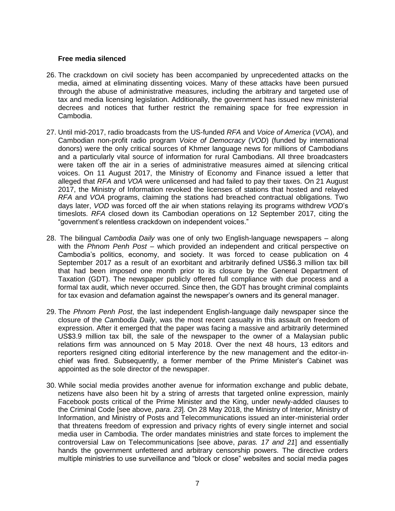#### **Free media silenced**

- 26. The crackdown on civil society has been accompanied by unprecedented attacks on the media, aimed at eliminating dissenting voices. Many of these attacks have been pursued through the abuse of administrative measures, including the arbitrary and targeted use of tax and media licensing legislation. Additionally, the government has issued new ministerial decrees and notices that further restrict the remaining space for free expression in Cambodia.
- 27. Until mid-2017, radio broadcasts from the US-funded *RFA* and *Voice of America* (*VOA*), and Cambodian non-profit radio program *Voice of Democracy* (*VOD*) (funded by international donors) were the only critical sources of Khmer language news for millions of Cambodians and a particularly vital source of information for rural Cambodians. All three broadcasters were taken off the air in a series of administrative measures aimed at silencing critical voices. On 11 August 2017, the Ministry of Economy and Finance issued a letter that alleged that *RFA* and *VOA* were unlicensed and had failed to pay their taxes. On 21 August 2017, the Ministry of Information revoked the licenses of stations that hosted and relayed *RFA* and *VOA* programs, claiming the stations had breached contractual obligations. Two days later, *VOD* was forced off the air when stations relaying its programs withdrew *VOD*'s timeslots. *RFA* closed down its Cambodian operations on 12 September 2017, citing the "government's relentless crackdown on independent voices."
- 28. The bilingual *Cambodia Daily* was one of only two English-language newspapers along with the *Phnom Penh Post* – which provided an independent and critical perspective on Cambodia's politics, economy, and society. It was forced to cease publication on 4 September 2017 as a result of an exorbitant and arbitrarily defined US\$6.3 million tax bill that had been imposed one month prior to its closure by the General Department of Taxation (GDT). The newspaper publicly offered full compliance with due process and a formal tax audit, which never occurred. Since then, the GDT has brought criminal complaints for tax evasion and defamation against the newspaper's owners and its general manager.
- 29. The *Phnom Penh Post*, the last independent English-language daily newspaper since the closure of the *Cambodia Daily*, was the most recent casualty in this assault on freedom of expression. After it emerged that the paper was facing a massive and arbitrarily determined US\$3.9 million tax bill, the sale of the newspaper to the owner of a Malaysian public relations firm was announced on 5 May 2018. Over the next 48 hours, 13 editors and reporters resigned citing editorial interference by the new management and the editor-inchief was fired. Subsequently, a former member of the Prime Minister's Cabinet was appointed as the sole director of the newspaper.
- 30. While social media provides another avenue for information exchange and public debate, netizens have also been hit by a string of arrests that targeted online expression, mainly Facebook posts critical of the Prime Minister and the King, under newly-added clauses to the Criminal Code [see above, *para. 23*]. On 28 May 2018, the Ministry of Interior, Ministry of Information, and Ministry of Posts and Telecommunications issued an inter-ministerial order that threatens freedom of expression and privacy rights of every single internet and social media user in Cambodia. The order mandates ministries and state forces to implement the controversial Law on Telecommunications [see above, *paras. 17 and 21*] and essentially hands the government unfettered and arbitrary censorship powers. The directive orders multiple ministries to use surveillance and "block or close" websites and social media pages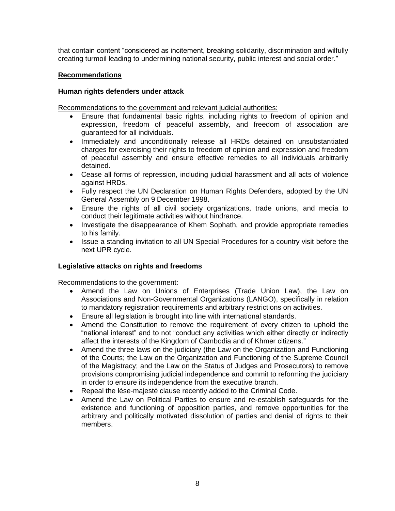that contain content "considered as incitement, breaking solidarity, discrimination and wilfully creating turmoil leading to undermining national security, public interest and social order."

#### **Recommendations**

#### **Human rights defenders under attack**

Recommendations to the government and relevant judicial authorities:

- Ensure that fundamental basic rights, including rights to freedom of opinion and expression, freedom of peaceful assembly, and freedom of association are guaranteed for all individuals.
- Immediately and unconditionally release all HRDs detained on unsubstantiated charges for exercising their rights to freedom of opinion and expression and freedom of peaceful assembly and ensure effective remedies to all individuals arbitrarily detained.
- Cease all forms of repression, including judicial harassment and all acts of violence against HRDs.
- Fully respect the UN Declaration on Human Rights Defenders, adopted by the UN General Assembly on 9 December 1998.
- Ensure the rights of all civil society organizations, trade unions, and media to conduct their legitimate activities without hindrance.
- Investigate the disappearance of Khem Sophath, and provide appropriate remedies to his family.
- Issue a standing invitation to all UN Special Procedures for a country visit before the next UPR cycle.

#### **Legislative attacks on rights and freedoms**

Recommendations to the government:

- Amend the Law on Unions of Enterprises (Trade Union Law), the Law on Associations and Non-Governmental Organizations (LANGO), specifically in relation to mandatory registration requirements and arbitrary restrictions on activities.
- Ensure all legislation is brought into line with international standards.
- Amend the Constitution to remove the requirement of every citizen to uphold the "national interest" and to not "conduct any activities which either directly or indirectly affect the interests of the Kingdom of Cambodia and of Khmer citizens."
- Amend the three laws on the judiciary (the Law on the Organization and Functioning of the Courts; the Law on the Organization and Functioning of the Supreme Council of the Magistracy; and the Law on the Status of Judges and Prosecutors) to remove provisions compromising judicial independence and commit to reforming the judiciary in order to ensure its independence from the executive branch.
- Repeal the lèse-majesté clause recently added to the Criminal Code.
- Amend the Law on Political Parties to ensure and re-establish safeguards for the existence and functioning of opposition parties, and remove opportunities for the arbitrary and politically motivated dissolution of parties and denial of rights to their members.